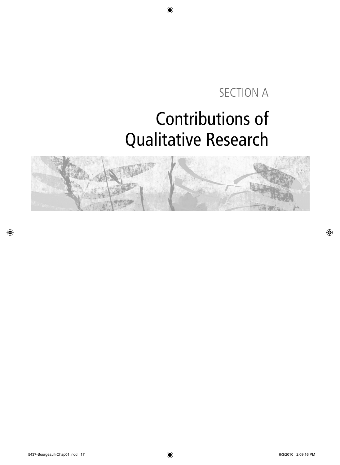# SECTION A

# Contributions of Qualitative Research



⊕

 $\bigoplus$ 

 $\bigoplus$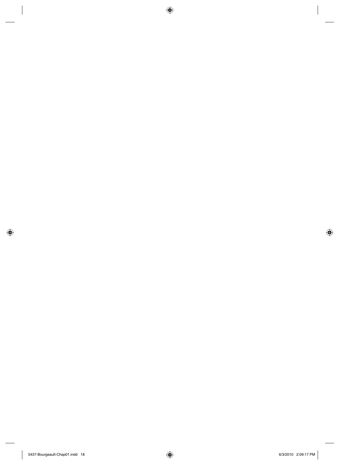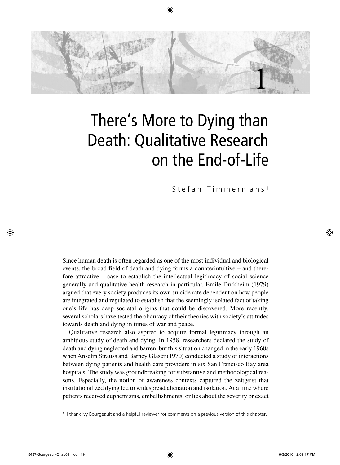

# There's More to Dying than Death: Qualitative Research on the End-of-Life

Stefan Timmermans <sup>1</sup>

Since human death is often regarded as one of the most individual and biological events, the broad field of death and dying forms a counterintuitive – and therefore attractive – case to establish the intellectual legitimacy of social science generally and qualitative health research in particular. Emile Durkheim (1979) argued that every society produces its own suicide rate dependent on how people are integrated and regulated to establish that the seemingly isolated fact of taking one's life has deep societal origins that could be discovered. More recently, several scholars have tested the obduracy of their theories with society's attitudes towards death and dying in times of war and peace.

Qualitative research also aspired to acquire formal legitimacy through an ambitious study of death and dying. In 1958, researchers declared the study of death and dying neglected and barren, but this situation changed in the early 1960s when Anselm Strauss and Barney Glaser (1970) conducted a study of interactions between dying patients and health care providers in six San Francisco Bay area hospitals. The study was groundbreaking for substantive and methodological reasons. Especially, the notion of awareness contexts captured the zeitgeist that institutionalized dying led to widespread alienation and isolation. At a time where patients received euphemisms, embellishments, or lies about the severity or exact

⊕

<sup>1</sup> I thank Ivy Bourgeault and a helpful reviewer for comments on a previous version of this chapter.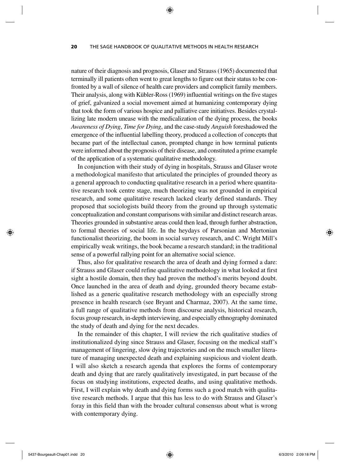nature of their diagnosis and prognosis, Glaser and Strauss (1965) documented that terminally ill patients often went to great lengths to figure out their status to be confronted by a wall of silence of health care providers and complicit family members. Their analysis, along with Kübler-Ross (1969) influential writings on the five stages of grief, galvanized a social movement aimed at humanizing contemporary dying that took the form of various hospice and palliative care initiatives. Besides crystallizing late modern unease with the medicalization of the dying process, the books *Awareness of Dying*, *Time for Dying*, and the case-study *Anguish* foreshadowed the emergence of the influential labelling theory, produced a collection of concepts that became part of the intellectual canon, prompted change in how terminal patients were informed about the prognosis of their disease, and constituted a prime example of the application of a systematic qualitative methodology.

In conjunction with their study of dying in hospitals, Strauss and Glaser wrote a methodological manifesto that articulated the principles of grounded theory as a general approach to conducting qualitative research in a period where quantitative research took centre stage, much theorizing was not grounded in empirical research, and some qualitative research lacked clearly defined standards. They proposed that sociologists build theory from the ground up through systematic conceptualization and constant comparisons with similar and distinct research areas. Theories grounded in substantive areas could then lead, through further abstraction, to formal theories of social life. In the heydays of Parsonian and Mertonian functionalist theorizing, the boom in social survey research, and C. Wright Mill's empirically weak writings, the book became a research standard; in the traditional sense of a powerful rallying point for an alternative social science.

Thus, also for qualitative research the area of death and dying formed a dare: if Strauss and Glaser could refine qualitative methodology in what looked at first sight a hostile domain, then they had proven the method's merits beyond doubt. Once launched in the area of death and dying, grounded theory became established as a generic qualitative research methodology with an especially strong presence in health research (see Bryant and Charmaz, 2007). At the same time, a full range of qualitative methods from discourse analysis, historical research, focus group research, in-depth interviewing, and especially ethnography dominated the study of death and dying for the next decades.

In the remainder of this chapter, I will review the rich qualitative studies of institutionalized dying since Strauss and Glaser, focusing on the medical staff's management of lingering, slow dying trajectories and on the much smaller literature of managing unexpected death and explaining suspicious and violent death. I will also sketch a research agenda that explores the forms of contemporary death and dying that are rarely qualitatively investigated, in part because of the focus on studying institutions, expected deaths, and using qualitative methods. First, I will explain why death and dying forms such a good match with qualitative research methods. I argue that this has less to do with Strauss and Glaser's foray in this field than with the broader cultural consensus about what is wrong with contemporary dying.

5437-Bourgeault-Chap01.indd 20 437-Bourgeault-Chap01.indd 20 437-Bourgeault-Chap01.indd 20 5/3/2010 2:09:18 PM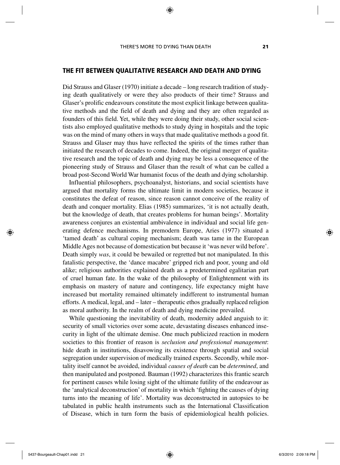# THE FIT BETWEEN QUALITATIVE RESEARCH AND DEATH AND DYING

Did Strauss and Glaser (1970) initiate a decade – long research tradition of studying death qualitatively or were they also products of their time? Strauss and Glaser's prolific endeavours constitute the most explicit linkage between qualitative methods and the field of death and dying and they are often regarded as founders of this field. Yet, while they were doing their study, other social scientists also employed qualitative methods to study dying in hospitals and the topic was on the mind of many others in ways that made qualitative methods a good fit. Strauss and Glaser may thus have reflected the spirits of the times rather than initiated the research of decades to come. Indeed, the original merger of qualitative research and the topic of death and dying may be less a consequence of the pioneering study of Strauss and Glaser than the result of what can be called a broad post-Second World War humanist focus of the death and dying scholarship.

Influential philosophers, psychoanalyst, historians, and social scientists have argued that mortality forms the ultimate limit in modern societies, because it constitutes the defeat of reason, since reason cannot conceive of the reality of death and conquer mortality. Elias (1985) summarizes, 'it is not actually death, but the knowledge of death, that creates problems for human beings'. Mortality awareness conjures an existential ambivalence in individual and social life generating defence mechanisms. In premodern Europe, Aries (1977) situated a 'tamed death' as cultural coping mechanism; death was tame in the European Middle Ages not because of domestication but because it 'was never wild before'. Death simply *was*, it could be bewailed or regretted but not manipulated. In this fatalistic perspective, the 'dance macabre' gripped rich and poor, young and old alike; religious authorities explained death as a predetermined egalitarian part of cruel human fate. In the wake of the philosophy of Enlightenment with its emphasis on mastery of nature and contingency, life expectancy might have increased but mortality remained ultimately indifferent to instrumental human efforts. A medical, legal, and – later – therapeutic ethos gradually replaced religion as moral authority. In the realm of death and dying medicine prevailed.

While questioning the inevitability of death, modernity added anguish to it: security of small victories over some acute, devastating diseases enhanced insecurity in light of the ultimate demise. One much publicized reaction in modern societies to this frontier of reason is *seclusion and professional management*: hide death in institutions, disavowing its existence through spatial and social segregation under supervision of medically trained experts. Secondly, while mortality itself cannot be avoided, individual *causes of death* can be *determined*, and then manipulated and postponed. Bauman (1992) characterizes this frantic search for pertinent causes while losing sight of the ultimate futility of the endeavour as the 'analytical deconstruction' of mortality in which 'fighting the causes of dying turns into the meaning of life'. Mortality was deconstructed in autopsies to be tabulated in public health instruments such as the International Classification of Disease, which in turn form the basis of epidemiological health policies.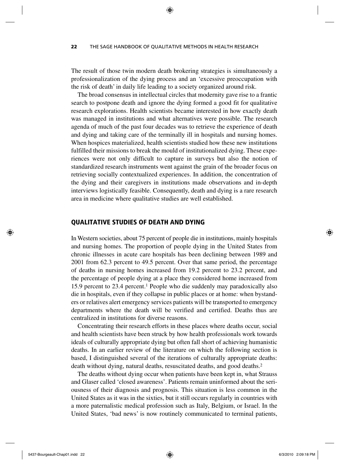♠

The result of those twin modern death brokering strategies is simultaneously a professionalization of the dying process and an 'excessive preoccupation with the risk of death' in daily life leading to a society organized around risk.

The broad consensus in intellectual circles that modernity gave rise to a frantic search to postpone death and ignore the dying formed a good fit for qualitative research explorations. Health scientists became interested in how exactly death was managed in institutions and what alternatives were possible. The research agenda of much of the past four decades was to retrieve the experience of death and dying and taking care of the terminally ill in hospitals and nursing homes. When hospices materialized, health scientists studied how these new institutions fulfilled their missions to break the mould of institutionalized dying. These experiences were not only difficult to capture in surveys but also the notion of standardized research instruments went against the grain of the broader focus on retrieving socially contextualized experiences. In addition, the concentration of the dying and their caregivers in institutions made observations and in-depth interviews logistically feasible. Consequently, death and dying is a rare research area in medicine where qualitative studies are well established.

# QUALITATIVE STUDIES OF DEATH AND DYING

In Western societies, about 75 percent of people die in institutions, mainly hospitals and nursing homes. The proportion of people dying in the United States from chronic illnesses in acute care hospitals has been declining between 1989 and 2001 from 62.3 percent to 49.5 percent. Over that same period, the percentage of deaths in nursing homes increased from 19.2 percent to 23.2 percent, and the percentage of people dying at a place they considered home increased from 15.9 percent to 23.4 percent.1 People who die suddenly may paradoxically also die in hospitals, even if they collapse in public places or at home: when bystanders or relatives alert emergency services patients will be transported to emergency departments where the death will be verified and certified. Deaths thus are centralized in institutions for diverse reasons.

Concentrating their research efforts in these places where deaths occur, social and health scientists have been struck by how health professionals work towards ideals of culturally appropriate dying but often fall short of achieving humanistic deaths. In an earlier review of the literature on which the following section is based, I distinguished several of the iterations of culturally appropriate deaths: death without dying, natural deaths, resuscitated deaths, and good deaths.2

The deaths without dying occur when patients have been kept in, what Strauss and Glaser called 'closed awareness'. Patients remain uninformed about the seriousness of their diagnosis and prognosis. This situation is less common in the United States as it was in the sixties, but it still occurs regularly in countries with a more paternalistic medical profession such as Italy, Belgium, or Israel. In the United States, 'bad news' is now routinely communicated to terminal patients,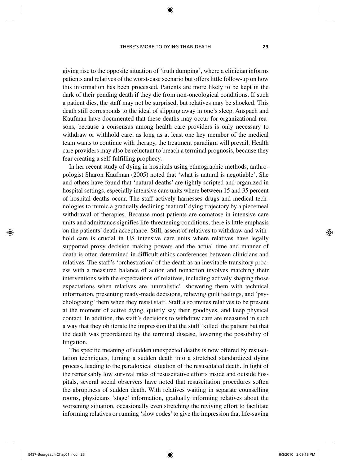giving rise to the opposite situation of 'truth dumping', where a clinician informs patients and relatives of the worst-case scenario but offers little follow-up on how this information has been processed. Patients are more likely to be kept in the dark of their pending death if they die from non-oncological conditions. If such a patient dies, the staff may not be surprised, but relatives may be shocked. This death still corresponds to the ideal of slipping away in one's sleep. Anspach and Kaufman have documented that these deaths may occur for organizational reasons, because a consensus among health care providers is only necessary to withdraw or withhold care; as long as at least one key member of the medical team wants to continue with therapy, the treatment paradigm will prevail. Health care providers may also be reluctant to breach a terminal prognosis, because they fear creating a self-fulfilling prophecy.

In her recent study of dying in hospitals using ethnographic methods, anthropologist Sharon Kaufman (2005) noted that 'what is natural is negotiable'. She and others have found that 'natural deaths' are tightly scripted and organized in hospital settings, especially intensive care units where between 15 and 35 percent of hospital deaths occur. The staff actively harnesses drugs and medical technologies to mimic a gradually declining 'natural' dying trajectory by a piecemeal withdrawal of therapies. Because most patients are comatose in intensive care units and admittance signifies life-threatening conditions, there is little emphasis on the patients' death acceptance. Still, assent of relatives to withdraw and withhold care is crucial in US intensive care units where relatives have legally supported proxy decision making powers and the actual time and manner of death is often determined in difficult ethics conferences between clinicians and relatives. The staff's 'orchestration' of the death as an inevitable transitory process with a measured balance of action and nonaction involves matching their interventions with the expectations of relatives, including actively shaping those expectations when relatives are 'unrealistic', showering them with technical information, presenting ready-made decisions, relieving guilt feelings, and 'psychologizing' them when they resist staff. Staff also invites relatives to be present at the moment of active dying, quietly say their goodbyes, and keep physical contact. In addition, the staff's decisions to withdraw care are measured in such a way that they obliterate the impression that the staff 'killed' the patient but that the death was preordained by the terminal disease, lowering the possibility of litigation.

The specific meaning of sudden unexpected deaths is now offered by resuscitation techniques, turning a sudden death into a stretched standardized dying process, leading to the paradoxical situation of the resuscitated death. In light of the remarkably low survival rates of resuscitative efforts inside and outside hospitals, several social observers have noted that resuscitation procedures soften the abruptness of sudden death. With relatives waiting in separate counselling rooms, physicians 'stage' information, gradually informing relatives about the worsening situation, occasionally even stretching the reviving effort to facilitate informing relatives or running 'slow codes' to give the impression that life-saving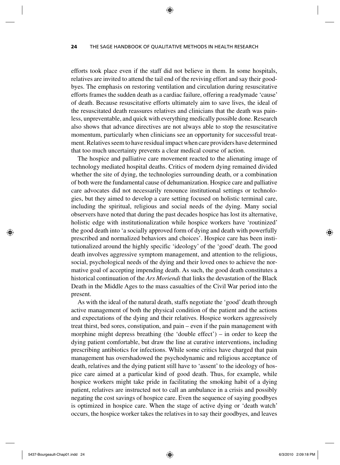♠

efforts took place even if the staff did not believe in them. In some hospitals, relatives are invited to attend the tail end of the reviving effort and say their goodbyes. The emphasis on restoring ventilation and circulation during resuscitative efforts frames the sudden death as a cardiac failure, offering a readymade 'cause' of death. Because resuscitative efforts ultimately aim to save lives, the ideal of the resuscitated death reassures relatives and clinicians that the death was painless, unpreventable, and quick with everything medically possible done. Research also shows that advance directives are not always able to stop the resuscitative momentum, particularly when clinicians see an opportunity for successful treatment. Relatives seem to have residual impact when care providers have determined that too much uncertainty prevents a clear medical course of action.

The hospice and palliative care movement reacted to the alienating image of technology mediated hospital deaths. Critics of modern dying remained divided whether the site of dying, the technologies surrounding death, or a combination of both were the fundamental cause of dehumanization. Hospice care and palliative care advocates did not necessarily renounce institutional settings or technologies, but they aimed to develop a care setting focused on holistic terminal care, including the spiritual, religious and social needs of the dying. Many social observers have noted that during the past decades hospice has lost its alternative, holistic edge with institutionalization while hospice workers have 'routinized' the good death into 'a socially approved form of dying and death with powerfully prescribed and normalized behaviors and choices'. Hospice care has been institutionalized around the highly specific 'ideology' of the 'good' death. The good death involves aggressive symptom management, and attention to the religious, social, psychological needs of the dying and their loved ones to achieve the normative goal of accepting impending death. As such, the good death constitutes a historical continuation of the *Ars Moriendi* that links the devastation of the Black Death in the Middle Ages to the mass casualties of the Civil War period into the present.

As with the ideal of the natural death, staffs negotiate the 'good' death through active management of both the physical condition of the patient and the actions and expectations of the dying and their relatives. Hospice workers aggressively treat thirst, bed sores, constipation, and pain – even if the pain management with morphine might depress breathing (the 'double effect') – in order to keep the dying patient comfortable, but draw the line at curative interventions, including prescribing antibiotics for infections. While some critics have charged that pain management has overshadowed the psychodynamic and religious acceptance of death, relatives and the dying patient still have to 'assent' to the ideology of hospice care aimed at a particular kind of good death. Thus, for example, while hospice workers might take pride in facilitating the smoking habit of a dying patient, relatives are instructed not to call an ambulance in a crisis and possibly negating the cost savings of hospice care. Even the sequence of saying goodbyes is optimized in hospice care. When the stage of active dying or 'death watch' occurs, the hospice worker takes the relatives in to say their goodbyes, and leaves

5437-Bourgeault-Chap01.indd 24 6/3/2010 2:09:18 PM (♦) and 5437-Bourgeault-Chap01.indd 6/4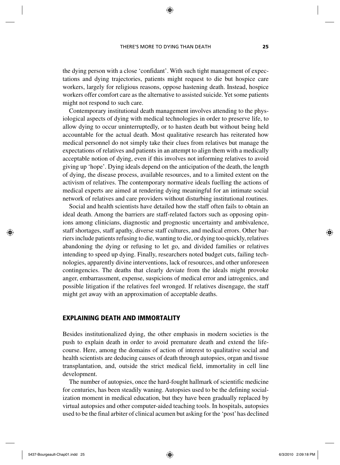the dying person with a close 'confidant'. With such tight management of expectations and dying trajectories, patients might request to die but hospice care workers, largely for religious reasons, oppose hastening death. Instead, hospice workers offer comfort care as the alternative to assisted suicide. Yet some patients might not respond to such care.

Contemporary institutional death management involves attending to the physiological aspects of dying with medical technologies in order to preserve life, to allow dying to occur uninterruptedly, or to hasten death but without being held accountable for the actual death. Most qualitative research has reiterated how medical personnel do not simply take their clues from relatives but manage the expectations of relatives and patients in an attempt to align them with a medically acceptable notion of dying, even if this involves not informing relatives to avoid giving up 'hope'. Dying ideals depend on the anticipation of the death, the length of dying, the disease process, available resources, and to a limited extent on the activism of relatives. The contemporary normative ideals fuelling the actions of medical experts are aimed at rendering dying meaningful for an intimate social network of relatives and care providers without disturbing institutional routines.

Social and health scientists have detailed how the staff often fails to obtain an ideal death. Among the barriers are staff-related factors such as opposing opinions among clinicians, diagnostic and prognostic uncertainty and ambivalence, staff shortages, staff apathy, diverse staff cultures, and medical errors. Other barriers include patients refusing to die, wanting to die, or dying too quickly, relatives abandoning the dying or refusing to let go, and divided families or relatives intending to speed up dying. Finally, researchers noted budget cuts, failing technologies, apparently divine interventions, lack of resources, and other unforeseen contingencies. The deaths that clearly deviate from the ideals might provoke anger, embarrassment, expense, suspicions of medical error and iatrogenics, and possible litigation if the relatives feel wronged. If relatives disengage, the staff might get away with an approximation of acceptable deaths.

# EXPLAINING DEATH AND IMMORTALITY

Besides institutionalized dying, the other emphasis in modern societies is the push to explain death in order to avoid premature death and extend the lifecourse. Here, among the domains of action of interest to qualitative social and health scientists are deducing causes of death through autopsies, organ and tissue transplantation, and, outside the strict medical field, immortality in cell line development.

The number of autopsies, once the hard-fought hallmark of scientific medicine for centuries, has been steadily waning. Autopsies used to be the defining socialization moment in medical education, but they have been gradually replaced by virtual autopsies and other computer-aided teaching tools. In hospitals, autopsies used to be the final arbiter of clinical acumen but asking for the 'post' has declined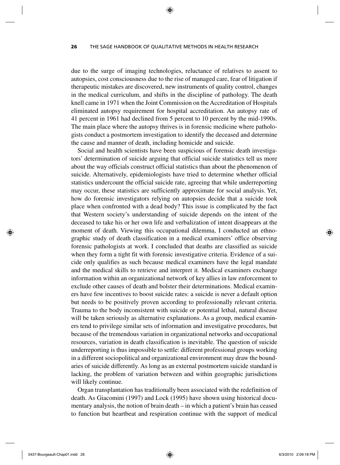♠

due to the surge of imaging technologies, reluctance of relatives to assent to autopsies, cost consciousness due to the rise of managed care, fear of litigation if therapeutic mistakes are discovered, new instruments of quality control, changes in the medical curriculum, and shifts in the discipline of pathology. The death knell came in 1971 when the Joint Commission on the Accreditation of Hospitals eliminated autopsy requirement for hospital accreditation. An autopsy rate of 41 percent in 1961 had declined from 5 percent to 10 percent by the mid-1990s. The main place where the autopsy thrives is in forensic medicine where pathologists conduct a postmortem investigation to identify the deceased and determine the cause and manner of death, including homicide and suicide.

Social and health scientists have been suspicious of forensic death investigators' determination of suicide arguing that official suicide statistics tell us more about the way officials construct official statistics than about the phenomenon of suicide. Alternatively, epidemiologists have tried to determine whether official statistics undercount the official suicide rate, agreeing that while underreporting may occur, these statistics are sufficiently approximate for social analysis. Yet, how do forensic investigators relying on autopsies decide that a suicide took place when confronted with a dead body? This issue is complicated by the fact that Western society's understanding of suicide depends on the intent of the deceased to take his or her own life and verbalization of intent disappears at the moment of death. Viewing this occupational dilemma, I conducted an ethnographic study of death classification in a medical examiners' office observing forensic pathologists at work. I concluded that deaths are classified as suicide when they form a tight fit with forensic investigative criteria. Evidence of a suicide only qualifies as such because medical examiners have the legal mandate and the medical skills to retrieve and interpret it. Medical examiners exchange information within an organizational network of key allies in law enforcement to exclude other causes of death and bolster their determinations. Medical examiners have few incentives to boost suicide rates: a suicide is never a default option but needs to be positively proven according to professionally relevant criteria. Trauma to the body inconsistent with suicide or potential lethal, natural disease will be taken seriously as alternative explanations. As a group, medical examiners tend to privilege similar sets of information and investigative procedures, but because of the tremendous variation in organizational networks and occupational resources, variation in death classification is inevitable. The question of suicide underreporting is thus impossible to settle: different professional groups working in a different sociopolitical and organizational environment may draw the boundaries of suicide differently. As long as an external postmortem suicide standard is lacking, the problem of variation between and within geographic jurisdictions will likely continue.

Organ transplantation has traditionally been associated with the redefinition of death. As Giacomini (1997) and Lock (1995) have shown using historical documentary analysis, the notion of brain death – in which a patient's brain has ceased to function but heartbeat and respiration continue with the support of medical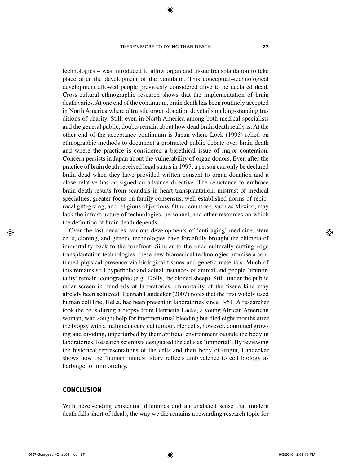technologies – was introduced to allow organ and tissue transplantation to take place after the development of the ventilator. This conceptual–technological development allowed people previously considered alive to be declared dead. Cross-cultural ethnographic research shows that the implementation of brain death varies. At one end of the continuum, brain death has been routinely accepted in North America where altruistic organ donation dovetails on long-standing traditions of charity. Still, even in North America among both medical specialists and the general public, doubts remain about how dead brain death really is. At the other end of the acceptance continuum is Japan where Lock (1995) relied on ethnographic methods to document a protracted public debate over brain death and where the practice is considered a bioethical issue of major contention. Concern persists in Japan about the vulnerability of organ donors. Even after the practice of brain death received legal status in 1997, a person can only be declared brain dead when they have provided written consent to organ donation and a close relative has co-signed an advance directive. The reluctance to embrace brain death results from scandals in heart transplantation, mistrust of medical specialties, greater focus on family consensus, well-established norms of reciprocal gift-giving, and religious objections. Other countries, such as Mexico, may lack the infrastructure of technologies, personnel, and other resources on which the definition of brain death depends.

Over the last decades, various developments of 'anti-aging' medicine, stem cells, cloning, and genetic technologies have forcefully brought the chimera of immortality back to the forefront. Similar to the once culturally cutting edge transplantation technologies, these new biomedical technologies promise a continued physical presence via biological tissues and genetic materials. Much of this remains still hyperbolic and actual instances of animal and people 'immortality' remain iconographic (e.g., Dolly, the cloned sheep). Still, under the public radar screen in hundreds of laboratories, immortality of the tissue kind may already been achieved. Hannah Landecker (2007) notes that the first widely used human cell line, HeLa, has been present in laboratories since 1951. A researcher took the cells during a biopsy from Henrietta Lacks, a young African American woman, who sought help for intermenstrual bleeding but died eight months after the biopsy with a malignant cervical tumour. Her cells, however, continued growing and dividing, unperturbed by their artificial environment outside the body in laboratories. Research scientists designated the cells as 'immortal'. By reviewing the historical representations of the cells and their body of origin, Landecker shows how the 'human interest' story reflects ambivalence to cell biology as harbinger of immortality.

# **CONCLUSION**

With never-ending existential dilemmas and an unabated sense that modern death falls short of ideals, the way we die remains a rewarding research topic for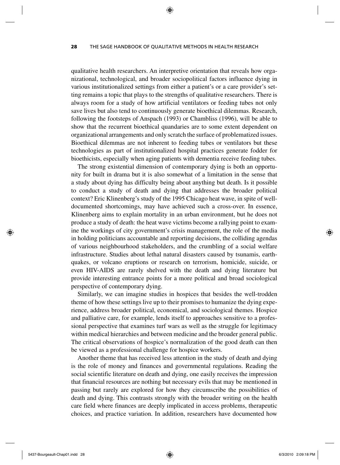qualitative health researchers. An interpretive orientation that reveals how organizational, technological, and broader sociopolitical factors influence dying in various institutionalized settings from either a patient's or a care provider's setting remains a topic that plays to the strengths of qualitative researchers. There is always room for a study of how artificial ventilators or feeding tubes not only save lives but also tend to continuously generate bioethical dilemmas. Research, following the footsteps of Anspach (1993) or Chambliss (1996), will be able to show that the recurrent bioethical quandaries are to some extent dependent on organizational arrangements and only scratch the surface of problematized issues. Bioethical dilemmas are not inherent to feeding tubes or ventilators but these technologies as part of institutionalized hospital practices generate fodder for bioethicists, especially when aging patients with dementia receive feeding tubes.

The strong existential dimension of contemporary dying is both an opportunity for built in drama but it is also somewhat of a limitation in the sense that a study about dying has difficulty being about anything but death. Is it possible to conduct a study of death and dying that addresses the broader political context? Eric Klinenberg's study of the 1995 Chicago heat wave, in spite of welldocumented shortcomings, may have achieved such a cross-over. In essence, Klinenberg aims to explain mortality in an urban environment, but he does not produce a study of death: the heat wave victims become a rallying point to examine the workings of city government's crisis management, the role of the media in holding politicians accountable and reporting decisions, the colliding agendas of various neighbourhood stakeholders, and the crumbling of a social welfare infrastructure. Studies about lethal natural disasters caused by tsunamis, earthquakes, or volcano eruptions or research on terrorism, homicide, suicide, or even HIV-AIDS are rarely shelved with the death and dying literature but provide interesting entrance points for a more political and broad sociological perspective of contemporary dying.

Similarly, we can imagine studies in hospices that besides the well-trodden theme of how these settings live up to their promises to humanize the dying experience, address broader political, economical, and sociological themes. Hospice and palliative care, for example, lends itself to approaches sensitive to a professional perspective that examines turf wars as well as the struggle for legitimacy within medical hierarchies and between medicine and the broader general public. The critical observations of hospice's normalization of the good death can then be viewed as a professional challenge for hospice workers.

Another theme that has received less attention in the study of death and dying is the role of money and finances and governmental regulations. Reading the social scientific literature on death and dying, one easily receives the impression that financial resources are nothing but necessary evils that may be mentioned in passing but rarely are explored for how they circumscribe the possibilities of death and dying. This contrasts strongly with the broader writing on the health care field where finances are deeply implicated in access problems, therapeutic choices, and practice variation. In addition, researchers have documented how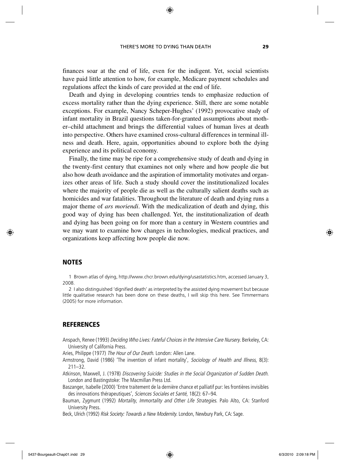#### THERE'S MORE TO DYING THAN DEATH **29**

♠

finances soar at the end of life, even for the indigent. Yet, social scientists have paid little attention to how, for example, Medicare payment schedules and regulations affect the kinds of care provided at the end of life.

Death and dying in developing countries tends to emphasize reduction of excess mortality rather than the dying experience. Still, there are some notable exceptions. For example, Nancy Scheper-Hughes' (1992) provocative study of infant mortality in Brazil questions taken-for-granted assumptions about mother–child attachment and brings the differential values of human lives at death into perspective. Others have examined cross-cultural differences in terminal illness and death. Here, again, opportunities abound to explore both the dying experience and its political economy.

Finally, the time may be ripe for a comprehensive study of death and dying in the twenty-first century that examines not only where and how people die but also how death avoidance and the aspiration of immortality motivates and organizes other areas of life. Such a study should cover the institutionalized locales where the majority of people die as well as the culturally salient deaths such as homicides and war fatalities. Throughout the literature of death and dying runs a major theme of *ars moriendi*. With the medicalization of death and dying, this good way of dying has been challenged. Yet, the institutionalization of death and dying has been going on for more than a century in Western countries and we may want to examine how changes in technologies, medical practices, and organizations keep affecting how people die now.

# NOTES

1 Brown atlas of dying, http://www.chcr.brown.edu/dying/usastatistics.htm, accessed January 3, 2008.

2 I also distinguished 'dignified death' as interpreted by the assisted dying movement but because little qualitative research has been done on these deaths, I will skip this here. See Timmermans (2005) for more information.

### **REFERENCES**

Anspach, Renee (1993) *Deciding Who Lives: Fateful Choices in the Intensive Care Nursery*. Berkeley, CA: University of California Press.

Aries, Philippe (1977) *The Hour of Our Death*. London: Allen Lane.

Armstrong, David (1986) 'The invention of infant mortality', *Sociology of Health and Illness*, 8(3): 211–32.

Atkinson, Maxwell, J. (1978) *Discovering Suicide: Studies in the Social Organization of Sudden Death*. London and Bastingstoke: The Macmillan Press Ltd.

Baszanger, Isabelle (2000) 'Entre traitement de la dernière chance et palliatif pur: les frontières invisibles des innovations thérapeutiques', *Sciences Sociales et Santé*, 18(2): 67–94.

Bauman, Zygmunt (1992) *Mortality, Immortality and Other Life Strategies*. Palo Alto, CA: Stanford University Press.

Beck, Ulrich (1992) *Risk Society: Towards a New Modernity*. London, Newbury Park, CA: Sage.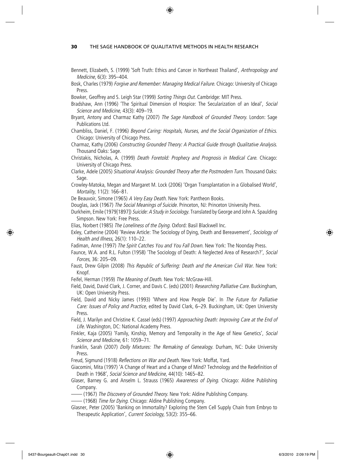♠

- Bennett, Elizabeth, S. (1999) 'Soft Truth: Ethics and Cancer in Northeast Thailand', *Anthropology and Medicine*, 6(3): 395–404.
- Bosk, Charles (1979) *Forgive and Remember: Managing Medical Failure*. Chicago: University of Chicago Press.
- Bowker, Geoffrey and S. Leigh Star (1999) *Sorting Things Out*. Cambridge: MIT Press.
- Bradshaw, Ann (1996) 'The Spiritual Dimension of Hospice: The Secularization of an Ideal', *Social Science and Medicine*, 43(3): 409–19.
- Bryant, Antony and Charmaz Kathy (2007) *The Sage Handbook of Grounded Theory*. London: Sage Publications Ltd.
- Chambliss, Daniel, F. (1996) *Beyond Caring: Hospitals, Nurses, and the Social Organization of Ethics*. Chicago: University of Chicago Press.
- Charmaz, Kathy (2006) *Constructing Grounded Theory: A Practical Guide through Qualitative Analysis*. Thousand Oaks: Sage.
- Christakis, Nicholas, A. (1999) *Death Foretold: Prophecy and Prognosis in Medical Care*. Chicago: University of Chicago Press.
- Clarke, Adele (2005) *Situational Analysis: Grounded Theory after the Postmodern Turn*. Thousand Oaks: Sage.
- Crowley-Matoka, Megan and Margaret M. Lock (2006) 'Organ Transplantation in a Globalised World', *Mortality,* 11(2): 166–81.
- De Beauvoir, Simone (1965) *A Very Easy Death*. New York: Pantheon Books.
- Douglas, Jack (1967) *The Social Meanings of Suicide*. Princeton, NJ: Princeton University Press.
- Durkheim, Emile (1979[1897]) *Suicide: A Study in Sociology*. Translated by George and John A. Spaulding Simpson. New York: Free Press.
- Elias, Norbert (1985) *The Loneliness of the Dying*. Oxford: Basil Blackwell Inc.
- Exley, Catherine (2004) 'Review Article: The Sociology of Dying, Death and Bereavement', *Sociology of Health and Illness*, 26(1): 110–22.
- Fadiman, Anne (1997) *The Spirit Catches You and You Fall Down*. New York: The Noonday Press.
- Faunce, W.A. and R.L. Fulton (1958) 'The Sociology of Death: A Neglected Area of Research?', *Social Forces*, 36: 205–09.
- Faust, Drew Gilpin (2008) *This Republic of Suffering: Death and the American Civil War*. New York: Knopf.
- Feifel, Herman (1959) *The Meaning of Death*. New York: McGraw-Hill.
- Field, David, David Clark, J. Corner, and Davis C. (eds) (2001) *Researching Palliative Care*. Buckingham, UK: Open University Press.
- Field, David and Nicky James (1993) 'Where and How People Die'. In *The Future for Palliative Care: Issues of Policy and Practice*, edited by David Clark, 6–29. Buckingham, UK: Open University Press.
- Field, J. Marilyn and Christine K. Cassel (eds) (1997) *Approaching Death: Improving Care at the End of Life*. Washington, DC: National Academy Press.
- Finkler, Kaja (2005) 'Family, Kinship, Memory and Temporality in the Age of New Genetics', *Social Science and Medicine*, 61: 1059–71.
- Franklin, Sarah (2007) *Dolly Mixtures: The Remaking of Genealogy*. Durham, NC: Duke University **Press**
- Freud, Sigmund (1918) *Reflections on War and Death*. New York: Moffat, Yard.
- Giacomini, Mita (1997) 'A Change of Heart and a Change of Mind? Technology and the Redefinition of Death in 1968', *Social Science and Medicine*, 44(10): 1465–82.
- Glaser, Barney G. and Anselm L. Strauss (1965) *Awareness of Dying*. Chicago: Aldine Publishing Company.
- —— (1967) *The Discovery of Grounded Theory*. New York: Aldine Publishing Company.
- —— (1968) *Time for Dying*. Chicago: Aldine Publishing Company.
- Glasner, Peter (2005) 'Banking on Immortality? Exploring the Stem Cell Supply Chain from Embryo to Therapeutic Application', *Current Sociology*, 53(2): 355–66.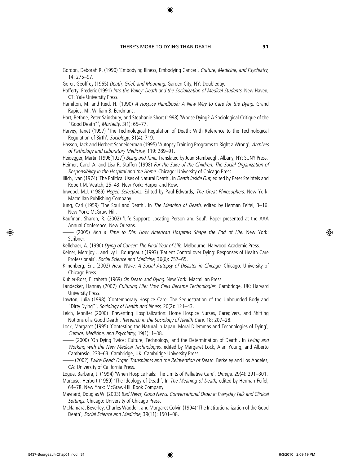- Gordon, Deborah R. (1990) 'Embodying Illness, Embodying Cancer', *Culture, Medicine, and Psychiatry*, 14: 275–97.
- Gorer, Geoffrey (1965) *Death, Grief, and Mourning*. Garden City, NY: Doubleday.
- Hafferty, Frederic (1991) *Into the Valley: Death and the Socialization of Medical Students*. New Haven, CT: Yale University Press.
- Hamilton, M. and Reid, H. (1990) *A Hospice Handbook: A New Way to Care for the Dying*. Grand Rapids, MI: William B. Eerdmans.
- Hart, Bethne, Peter Sainsbury, and Stephanie Short (1998) 'Whose Dying? A Sociological Critique of the "Good Death"', *Mortality,* 3(1): 65–77.
- Harvey, Janet (1997) 'The Technological Regulation of Death: With Reference to the Technological Regulation of Birth', *Sociology*, 31(4): 719.
- Hasson, Jack and Herbert Schneiderman (1995) 'Autopsy Training Programs to Right a Wrong', *Archives of Pathology and Laboratory Medicine*, 119: 289–91.

Heidegger, Martin (1996[1927]) *Being and Time*. Translated by Joan Stambaugh. Albany, NY: SUNY Press.

- Heimer, Carol A. and Lisa R. Staffen (1998) *For the Sake of the Children: The Social Organization of Responsibility in the Hospital and the Home*. Chicago: University of Chicago Press.
- Illich, Ivan (1974) 'The Political Uses of Natural Death'. In *Death inside Out*, edited by Peter Steinfels and Robert M. Veatch, 25–43. New York: Harper and Row.
- Inwood, M.J. (1989) *Hegel: Selections*. Edited by Paul Edwards, *The Great Philosophers*. New York: Macmillan Publishing Company.
- Jung, Carl (1959) 'The Soul and Death'. In *The Meaning of Death*, edited by Herman Feifel, 3–16. New York: McGraw-Hill.
- Kaufman, Sharon, R. (2002) 'Life Support: Locating Person and Soul', Paper presented at the AAA Annual Conference, New Orleans.
- —— (2005) *And a Time to Die: How American Hospitals Shape the End of Life*. New York: Scribner.
- Kellehaer, A. (1990) *Dying of Cancer: The Final Year of Life*. Melbourne: Harwood Academic Press.
- Kelner, Merrijoy J. and Ivy L. Bourgeault (1993) 'Patient Control over Dying: Responses of Health Care Professionals', *Social Science and Medicine,* 36(6): 757–65.
- Klinenberg, Eric (2002) *Heat Wave: A Social Autopsy of Disaster in Chicago*. Chicago: University of Chicago Press.
- Kubler-Ross, Elizabeth (1969) *On Death and Dying*. New York: Macmillan Press.
- Landecker, Hannay (2007) *Culturing Life: How Cells Became Technologies*. Cambridge, UK: Harvard University Press.
- Lawton, Julia (1998) 'Contemporary Hospice Care: The Sequestration of the Unbounded Body and "Dirty Dying"', *Sociology of Health and Illness*, 20(2): 121–43.
- Leich, Jennifer (2000) 'Preventing Hospitalization: Home Hospice Nurses, Caregivers, and Shifting Notions of a Good Death', *Research in the Sociology of Health Care,* 18: 207–28.
- Lock, Margaret (1995) 'Contesting the Natural in Japan: Moral Dilemmas and Technologies of Dying', *Culture, Medicine, and Psychiatry,* 19(1): 1–38.
- —— (2000) 'On Dying Twice: Culture, Technology, and the Determination of Death'. In *Living and Working with the New Medical Technologies*, edited by Margaret Lock, Alan Young, and Alberto Cambrosio, 233–63. Cambridge, UK: Cambridge University Press.
- —— (2002) *Twice Dead: Organ Transplants and the Reinvention of Death*. Berkeley and Los Angeles, CA: University of California Press.
- Logue, Barbara, J. (1994) 'When Hospice Fails: The Limits of Palliative Care', *Omega,* 29(4): 291–301.
- Marcuse, Herbert (1959) 'The Ideology of Death', In *The Meaning of Death*, edited by Herman Feifel, 64–78. New York: McGraw-Hill Book Company.
- Maynard, Douglas W. (2003) *Bad News, Good News: Conversational Order in Everyday Talk and Clinical Settings*. Chicago: University of Chicago Press.
- McNamara, Beverley, Charles Waddell, and Margaret Colvin (1994) 'The Institutionalization of the Good Death', *Social Science and Medicine*, 39(11): 1501–08.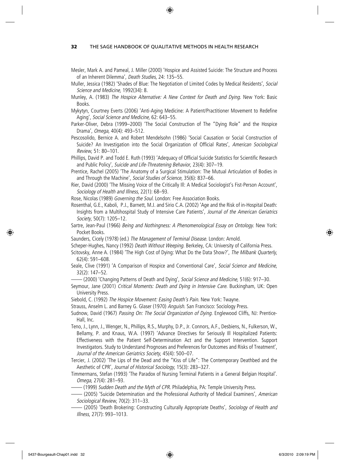♠

- Mesler, Mark A. and Pameal, J. Miller (2000) 'Hospice and Assisted Suicide: The Structure and Process of an Inherent Dilemma', *Death Studies*, 24: 135–55.
- Muller, Jessica (1982) 'Shades of Blue: The Negotiation of Limited Codes by Medical Residents', *Social Science and Medicine,* 1992(34): 8.
- Munley, A. (1983) *The Hospice Alternative: A New Context for Death and Dying*. New York: Basic Books.
- Mykytyn, Courtney Everts (2006) 'Anti-Aging Medicine: A Patient/Practitioner Movement to Redefine Aging', *Social Science and Medicine,* 62: 643–55.
- Parker-Oliver, Debra (1999–2000) 'The Social Construction of The "Dying Role" and the Hospice Drama', *Omega,* 40(4): 493–512.
- Pescosolido, Bernice A. and Robert Mendelsohn (1986) 'Social Causation or Social Construction of Suicide? An Investigation into the Social Organization of Official Rates', *American Sociological Review*, 51: 80–101.

Phillips, David P. and Todd E. Ruth (1993) 'Adequacy of Official Suicide Statistics for Scientific Research and Public Policy', *Suicide and Life-Threatening Behavior,* 23(4): 307–19.

- Prentice, Rachel (2005) 'The Anatomy of a Surgical Stimulation: The Mutual Articulation of Bodies in and Through the Machine', *Social Studies of Science,* 35(6): 837–66.
- Rier, David (2000) 'The Missing Voice of the Critically Ill: A Medical Sociologist's Fist-Person Account', *Sociology of Health and Illness*, 22(1): 68–93.
- Rose, Nicolas (1989) *Governing the Soul*. London: Free Association Books.
- Rosenthal, G.E., Kaboli, P.J., Barnett, M.J. and Sirio C.A. (2002) 'Age and the Risk of in-Hospital Death: Insights from a Multihospital Study of Intensive Care Patients', *Journal of the American Geriatrics Society*, 50(7): 1205–12.
- Sartre, Jean-Paul (1966) *Being and Nothingness: A Phenomenological Essay on Ontology*. New York: Pocket Books.
- Saunders, Cicely (1978) (ed.) *The Management of Terminal Disease*. London: Arnold.
- Scheper-Hughes, Nancy (1992) *Death Without Weeping*. Berkeley, CA: University of California Press.
- Scitovsky, Anne A. (1984) 'The High Cost of Dying: What Do the Data Show?', *The Milbank Quarterly,* 62(4): 591–608.
- Seale, Clive (1991) 'A Comparison of Hospice and Conventional Care', *Social Science and Medicine,* 32(2): 147–52.
- —— (2000) 'Changing Patterns of Death and Dying', *Social Science and Medicine,* 51(6): 917–30.
- Seymour, Jane (2001) *Critical Moments: Death and Dying in Intensive Care*. Buckingham, UK: Open University Press.
- Siebold, C. (1992) *The Hospice Movement: Easing Death's Pain*. New York: Twayne.
- Strauss, Anselm L. and Barney G. Glaser (1970) *Anguish*. San Francisco: Sociology Press.
- Sudnow, David (1967) *Passing On: The Social Organization of Dying*. Englewood Cliffs, NJ: Prentice-Hall, Inc.
- Teno, J., Lynn, J., Wenger, N., Phillips, R.S., Murphy, D.P., Jr. Connors, A.F., Desbiens, N., Fulkerson, W., Bellamy, P. and Knaus, W.A. (1997) 'Advance Directives for Seriously Ill Hospitalized Patients: Effectiveness with the Patient Self-Determination Act and the Support Intervention. Support Investigators. Study to Understand Prognoses and Preferences for Outcomes and Risks of Treatment', *Journal of the American Geriatrics Society,* 45(4): 500–07.
- Tercier, J. (2002) 'The Lips of the Dead and the "Kiss of Life": The Contemporary Deathbed and the Aesthetic of CPR', *Journal of Historical Sociology*, 15(3): 283–327.
- Timmermans, Stefan (1993) 'The Paradox of Nursing Terminal Patients in a General Belgian Hospital'. *Omega*, 27(4): 281–93.
- —— (1999) *Sudden Death and the Myth of CPR*. Philadelphia, PA: Temple University Press.
- —— (2005) 'Suicide Determination and the Professional Authority of Medical Examiners', *American Sociological Review*, 70(2): 311–33.
- —— (2005) 'Death Brokering: Constructing Culturally Appropriate Deaths', *Sociology of Health and Illness*, 27(7): 993–1013.